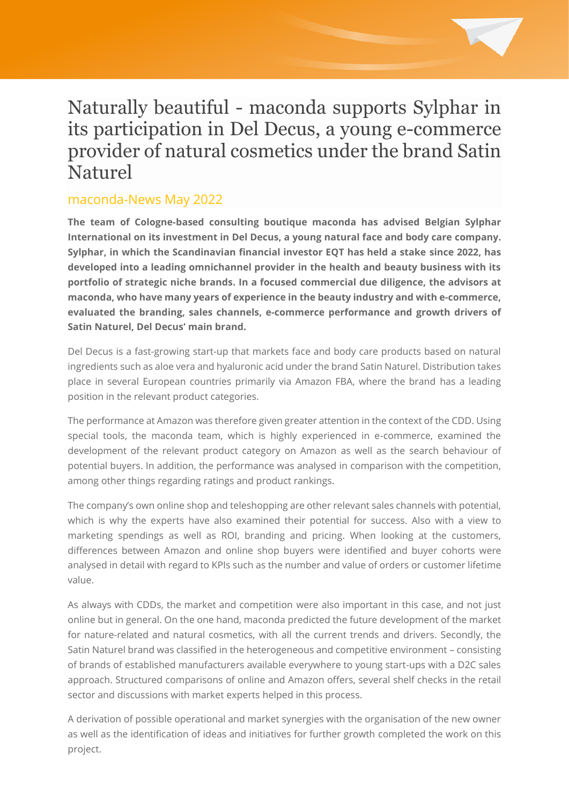# Naturally beautiful - maconda supports Sylphar in its participation in Del Decus, a young e-commerce provider of natural cosmetics under the brand Satin Naturel

## maconda-News May 2022

**The team of Cologne-based consulting boutique maconda has advised Belgian Sylphar International on its investment in Del Decus, a young natural face and body care company. Sylphar, in which the Scandinavian financial investor EQT has held a stake since 2022, has developed into a leading omnichannel provider in the health and beauty business with its portfolio of strategic niche brands. In a focused commercial due diligence, the advisors at maconda, who have many years of experience in the beauty industry and with e-commerce, evaluated the branding, sales channels, e-commerce performance and growth drivers of Satin Naturel, Del Decus' main brand.**

Del Decus is a fast-growing start-up that markets face and body care products based on natural ingredients such as aloe vera and hyaluronic acid under the brand Satin Naturel. Distribution takes place in several European countries primarily via Amazon FBA, where the brand has a leading position in the relevant product categories.

The performance at Amazon was therefore given greater attention in the context of the CDD. Using special tools, the maconda team, which is highly experienced in e-commerce, examined the development of the relevant product category on Amazon as well as the search behaviour of potential buyers. In addition, the performance was analysed in comparison with the competition, among other things regarding ratings and product rankings.

The company's own online shop and teleshopping are other relevant sales channels with potential, which is why the experts have also examined their potential for success. Also with a view to marketing spendings as well as ROI, branding and pricing. When looking at the customers, differences between Amazon and online shop buyers were identified and buyer cohorts were analysed in detail with regard to KPIs such as the number and value of orders or customer lifetime value.

As always with CDDs, the market and competition were also important in this case, and not just online but in general. On the one hand, maconda predicted the future development of the market for nature-related and natural cosmetics, with all the current trends and drivers. Secondly, the Satin Naturel brand was classified in the heterogeneous and competitive environment – consisting of brands of established manufacturers available everywhere to young start-ups with a D2C sales approach. Structured comparisons of online and Amazon offers, several shelf checks in the retail sector and discussions with market experts helped in this process.

A derivation of possible operational and market synergies with the organisation of the new owner as well as the identification of ideas and initiatives for further growth completed the work on this project.